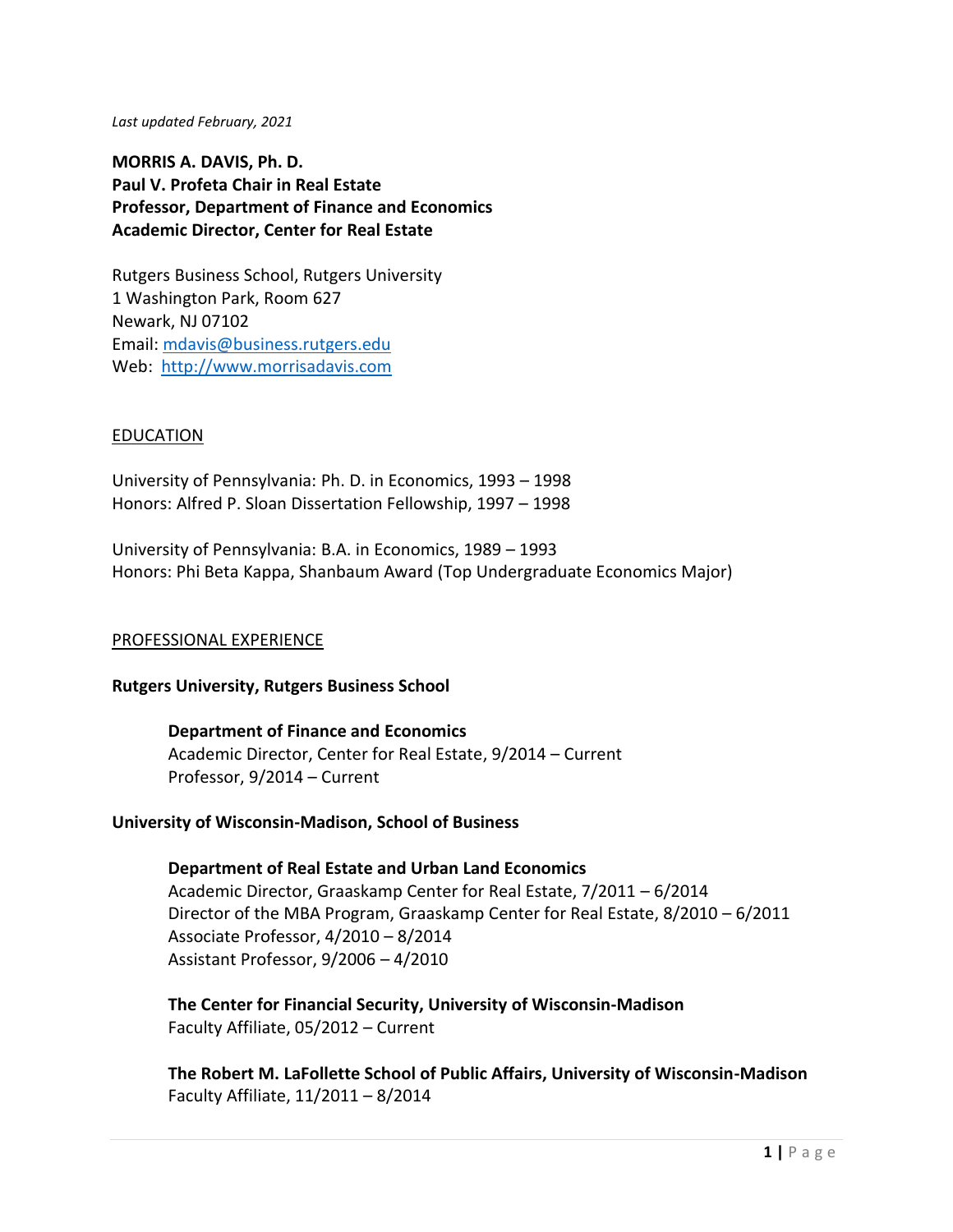*Last updated February, 2021*

**MORRIS A. DAVIS, Ph. D. Paul V. Profeta Chair in Real Estate Professor, Department of Finance and Economics Academic Director, Center for Real Estate** 

Rutgers Business School, Rutgers University 1 Washington Park, Room 627 Newark, NJ 07102 Email: [mdavis@business.rutgers.edu](mailto:mdavis@business.rutgers.edu) Web: [http://www.morrisadavis.com](http://www.morrisadavis.com/)

### **EDUCATION**

University of Pennsylvania: Ph. D. in Economics, 1993 – 1998 Honors: Alfred P. Sloan Dissertation Fellowship, 1997 – 1998

University of Pennsylvania: B.A. in Economics, 1989 – 1993 Honors: Phi Beta Kappa, Shanbaum Award (Top Undergraduate Economics Major)

#### PROFESSIONAL EXPERIENCE

#### **Rutgers University, Rutgers Business School**

**Department of Finance and Economics** Academic Director, Center for Real Estate, 9/2014 – Current Professor, 9/2014 – Current

#### **University of Wisconsin-Madison, School of Business**

**Department of Real Estate and Urban Land Economics** Academic Director, Graaskamp Center for Real Estate, 7/2011 – 6/2014 Director of the MBA Program, Graaskamp Center for Real Estate, 8/2010 – 6/2011 Associate Professor, 4/2010 – 8/2014 Assistant Professor, 9/2006 – 4/2010

**The Center for Financial Security, University of Wisconsin-Madison** Faculty Affiliate, 05/2012 – Current

**The Robert M. LaFollette School of Public Affairs, University of Wisconsin-Madison** Faculty Affiliate, 11/2011 – 8/2014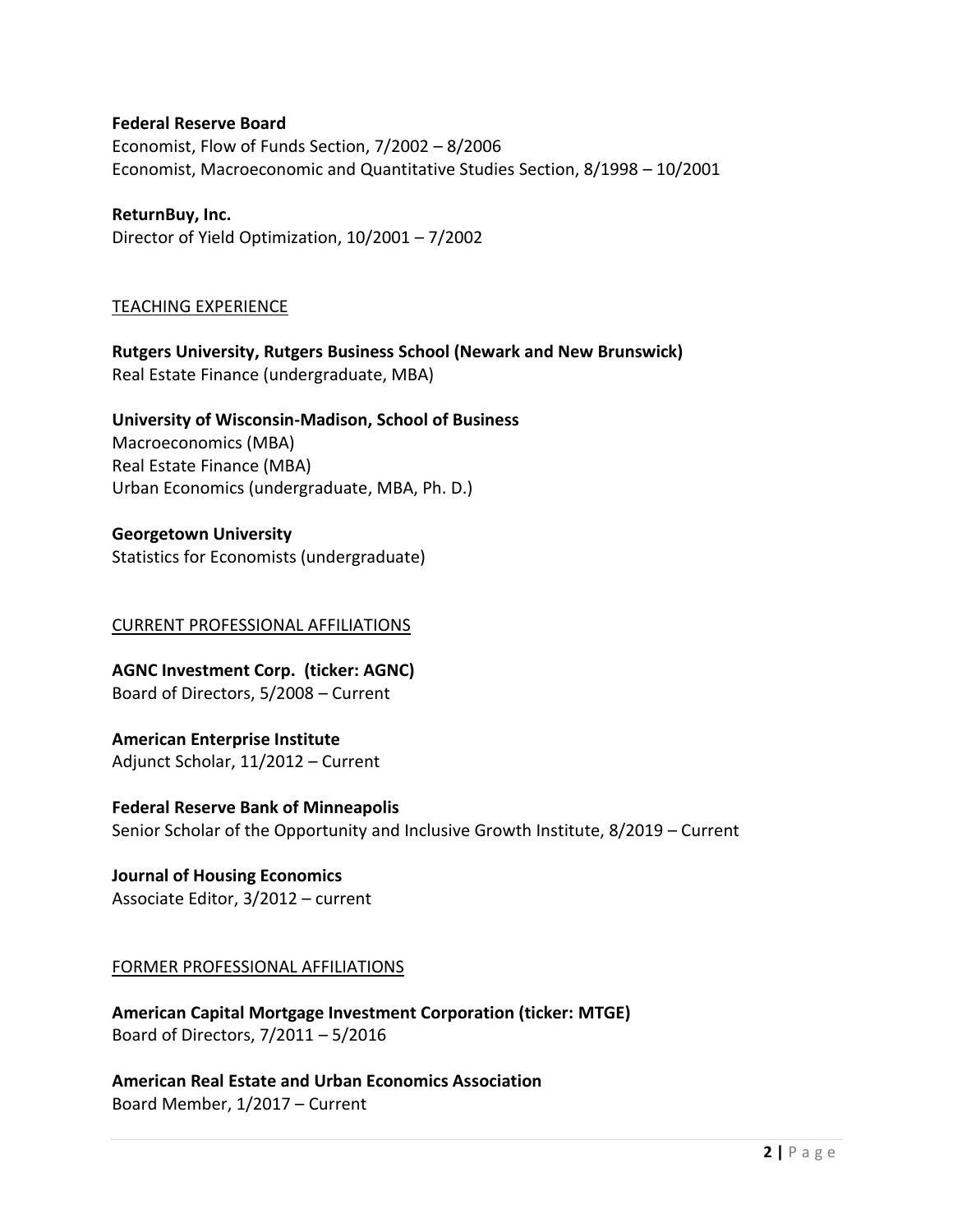### **Federal Reserve Board**

Economist, Flow of Funds Section, 7/2002 – 8/2006 Economist, Macroeconomic and Quantitative Studies Section, 8/1998 – 10/2001

**ReturnBuy, Inc.** Director of Yield Optimization, 10/2001 – 7/2002

### TEACHING EXPERIENCE

**Rutgers University, Rutgers Business School (Newark and New Brunswick)** Real Estate Finance (undergraduate, MBA)

**University of Wisconsin-Madison, School of Business** Macroeconomics (MBA) Real Estate Finance (MBA) Urban Economics (undergraduate, MBA, Ph. D.)

## **Georgetown University**

Statistics for Economists (undergraduate)

### CURRENT PROFESSIONAL AFFILIATIONS

**AGNC Investment Corp. (ticker: AGNC)** Board of Directors, 5/2008 – Current

**American Enterprise Institute** Adjunct Scholar, 11/2012 – Current

**Federal Reserve Bank of Minneapolis** Senior Scholar of the Opportunity and Inclusive Growth Institute, 8/2019 – Current

**Journal of Housing Economics** Associate Editor, 3/2012 – current

### FORMER PROFESSIONAL AFFILIATIONS

**American Capital Mortgage Investment Corporation (ticker: MTGE)** Board of Directors, 7/2011 – 5/2016

**American Real Estate and Urban Economics Association** Board Member, 1/2017 – Current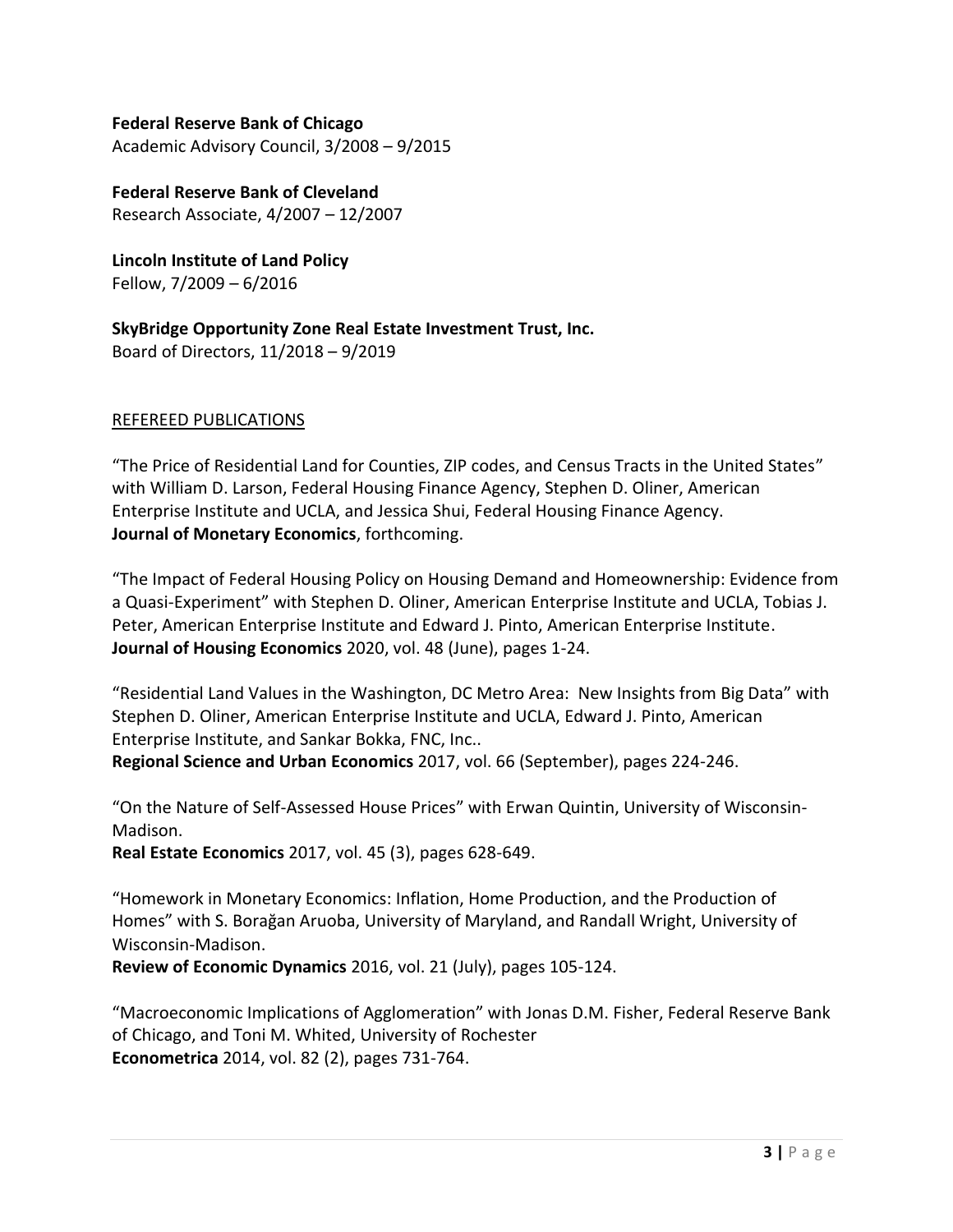### **Federal Reserve Bank of Chicago**

Academic Advisory Council, 3/2008 – 9/2015

**Federal Reserve Bank of Cleveland** Research Associate, 4/2007 – 12/2007

**Lincoln Institute of Land Policy** Fellow, 7/2009 – 6/2016

**SkyBridge Opportunity Zone Real Estate Investment Trust, Inc.** Board of Directors, 11/2018 – 9/2019

### REFEREED PUBLICATIONS

"The Price of Residential Land for Counties, ZIP codes, and Census Tracts in the United States" with William D. Larson, Federal Housing Finance Agency, Stephen D. Oliner, American Enterprise Institute and UCLA, and Jessica Shui, Federal Housing Finance Agency. **Journal of Monetary Economics**, forthcoming.

"The Impact of Federal Housing Policy on Housing Demand and Homeownership: Evidence from a Quasi-Experiment" with Stephen D. Oliner, American Enterprise Institute and UCLA, Tobias J. Peter, American Enterprise Institute and Edward J. Pinto, American Enterprise Institute. **Journal of Housing Economics** 2020, vol. 48 (June), pages 1-24.

"Residential Land Values in the Washington, DC Metro Area: New Insights from Big Data" with Stephen D. Oliner, American Enterprise Institute and UCLA, Edward J. Pinto, American Enterprise Institute, and Sankar Bokka, FNC, Inc..

**Regional Science and Urban Economics** 2017, vol. 66 (September), pages 224-246.

"On the Nature of Self-Assessed House Prices" with Erwan Quintin, University of Wisconsin-Madison.

**Real Estate Economics** 2017, vol. 45 (3), pages 628-649.

"Homework in Monetary Economics: Inflation, Home Production, and the Production of Homes" with S. Borağan Aruoba, University of Maryland, and Randall Wright, University of Wisconsin-Madison.

**Review of Economic Dynamics** 2016, vol. 21 (July), pages 105-124.

"Macroeconomic Implications of Agglomeration" with Jonas D.M. Fisher, Federal Reserve Bank of Chicago, and Toni M. Whited, University of Rochester **Econometrica** 2014, vol. 82 (2), pages 731-764.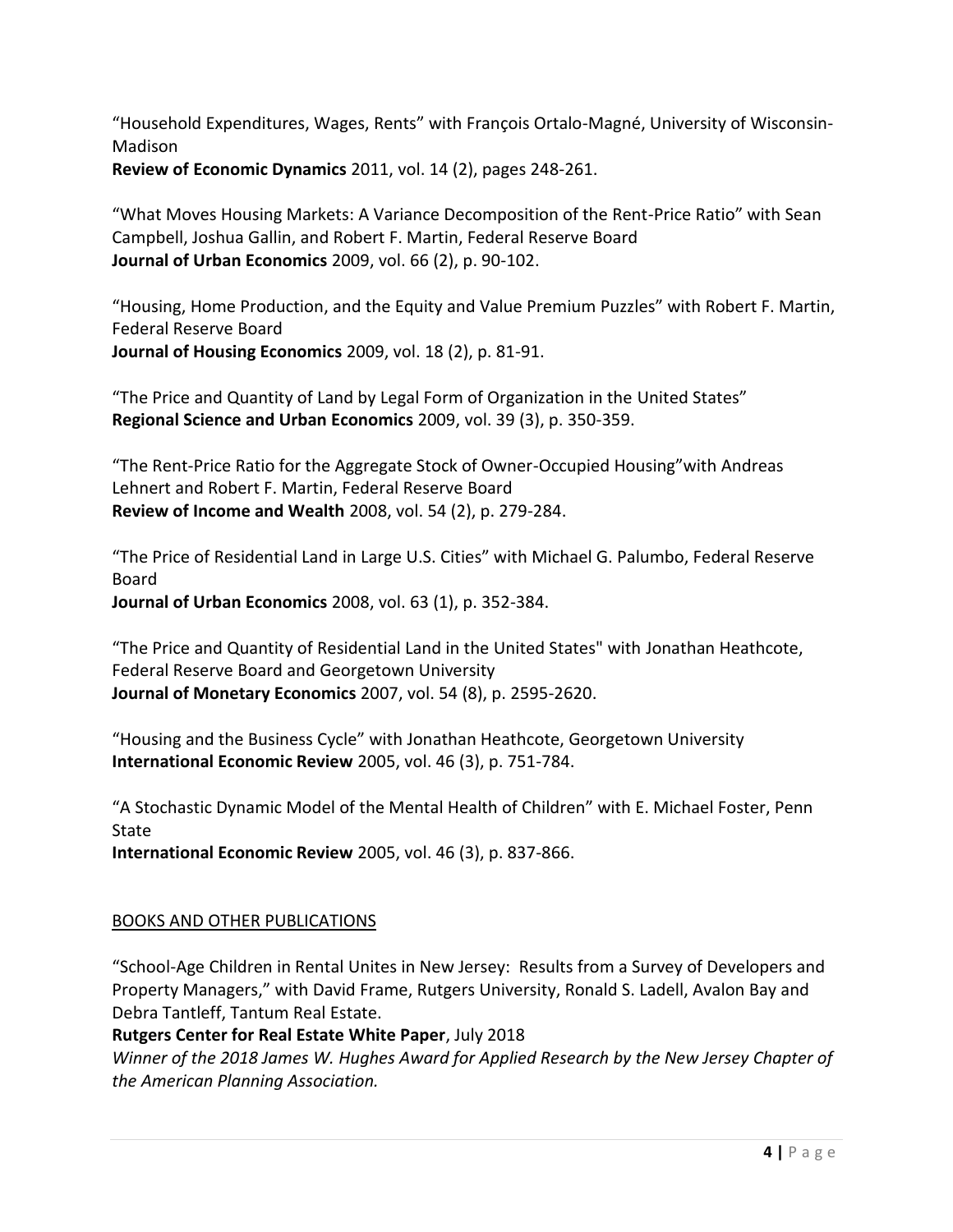"Household Expenditures, Wages, Rents" with François Ortalo-Magné, University of Wisconsin-Madison

**Review of Economic Dynamics** 2011, vol. 14 (2), pages 248-261.

"What Moves Housing Markets: A Variance Decomposition of the Rent-Price Ratio" with Sean Campbell, Joshua Gallin, and Robert F. Martin, Federal Reserve Board **Journal of Urban Economics** 2009, vol. 66 (2), p. 90-102.

"Housing, Home Production, and the Equity and Value Premium Puzzles" with Robert F. Martin, Federal Reserve Board **Journal of Housing Economics** 2009, vol. 18 (2), p. 81-91.

"The Price and Quantity of Land by Legal Form of Organization in the United States"

**Regional Science and Urban Economics** 2009, vol. 39 (3), p. 350-359.

"The Rent-Price Ratio for the Aggregate Stock of Owner-Occupied Housing"with Andreas Lehnert and Robert F. Martin, Federal Reserve Board **Review of Income and Wealth** 2008, vol. 54 (2), p. 279-284.

"The Price of Residential Land in Large U.S. Cities" with Michael G. Palumbo, Federal Reserve Board **Journal of Urban Economics** 2008, vol. 63 (1), p. 352-384.

"The Price and Quantity of Residential Land in the United States" with Jonathan Heathcote, Federal Reserve Board and Georgetown University **Journal of Monetary Economics** 2007, vol. 54 (8), p. 2595-2620.

"Housing and the Business Cycle" with Jonathan Heathcote, Georgetown University **International Economic Review** 2005, vol. 46 (3), p. 751-784.

"A Stochastic Dynamic Model of the Mental Health of Children" with E. Michael Foster, Penn State

**International Economic Review** 2005, vol. 46 (3), p. 837-866.

# BOOKS AND OTHER PUBLICATIONS

"School-Age Children in Rental Unites in New Jersey: Results from a Survey of Developers and Property Managers," with David Frame, Rutgers University, Ronald S. Ladell, Avalon Bay and Debra Tantleff, Tantum Real Estate.

# **Rutgers Center for Real Estate White Paper**, July 2018

*Winner of the 2018 James W. Hughes Award for Applied Research by the New Jersey Chapter of the American Planning Association.*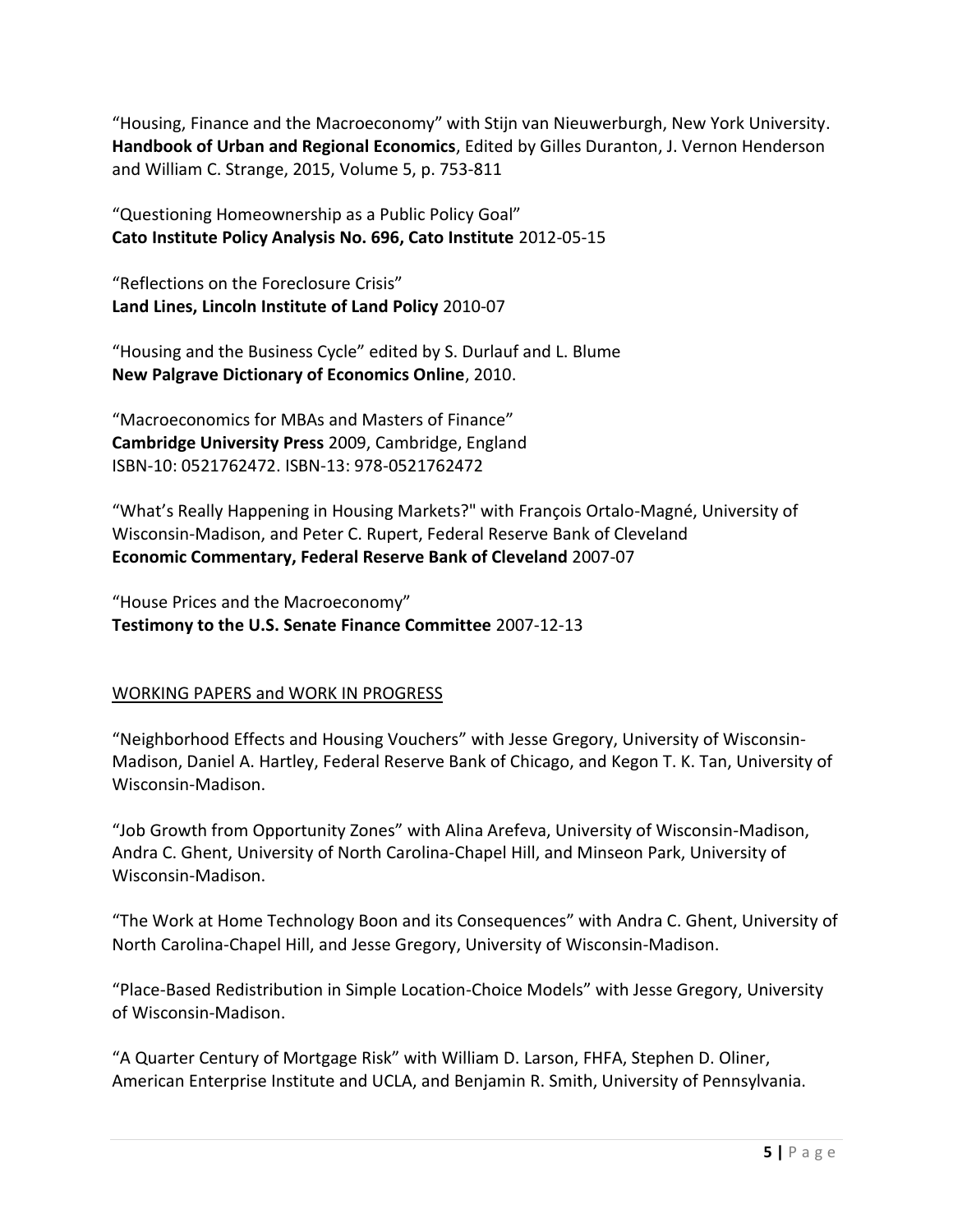"Housing, Finance and the Macroeconomy" with Stijn van Nieuwerburgh, New York University. **Handbook of Urban and Regional Economics**, Edited by Gilles Duranton, J. Vernon Henderson and William C. Strange, 2015, Volume 5, p. 753-811

"Questioning Homeownership as a Public Policy Goal" **Cato Institute Policy Analysis No. 696, Cato Institute** 2012-05-15

"Reflections on the Foreclosure Crisis" **Land Lines, Lincoln Institute of Land Policy** 2010-07

"Housing and the Business Cycle" edited by S. Durlauf and L. Blume **New Palgrave Dictionary of Economics Online**, 2010.

"Macroeconomics for MBAs and Masters of Finance" **Cambridge University Press** 2009, Cambridge, England ISBN-10: 0521762472. ISBN-13: 978-0521762472

"What's Really Happening in Housing Markets?" with François Ortalo-Magné, University of Wisconsin-Madison, and Peter C. Rupert, Federal Reserve Bank of Cleveland **Economic Commentary, Federal Reserve Bank of Cleveland** 2007-07

"House Prices and the Macroeconomy" **Testimony to the U.S. Senate Finance Committee** 2007-12-13

# WORKING PAPERS and WORK IN PROGRESS

"Neighborhood Effects and Housing Vouchers" with Jesse Gregory, University of Wisconsin-Madison, Daniel A. Hartley, Federal Reserve Bank of Chicago, and Kegon T. K. Tan, University of Wisconsin-Madison.

"Job Growth from Opportunity Zones" with Alina Arefeva, University of Wisconsin-Madison, Andra C. Ghent, University of North Carolina-Chapel Hill, and Minseon Park, University of Wisconsin-Madison.

"The Work at Home Technology Boon and its Consequences" with Andra C. Ghent, University of North Carolina-Chapel Hill, and Jesse Gregory, University of Wisconsin-Madison.

"Place-Based Redistribution in Simple Location-Choice Models" with Jesse Gregory, University of Wisconsin-Madison.

"A Quarter Century of Mortgage Risk" with William D. Larson, FHFA, Stephen D. Oliner, American Enterprise Institute and UCLA, and Benjamin R. Smith, University of Pennsylvania.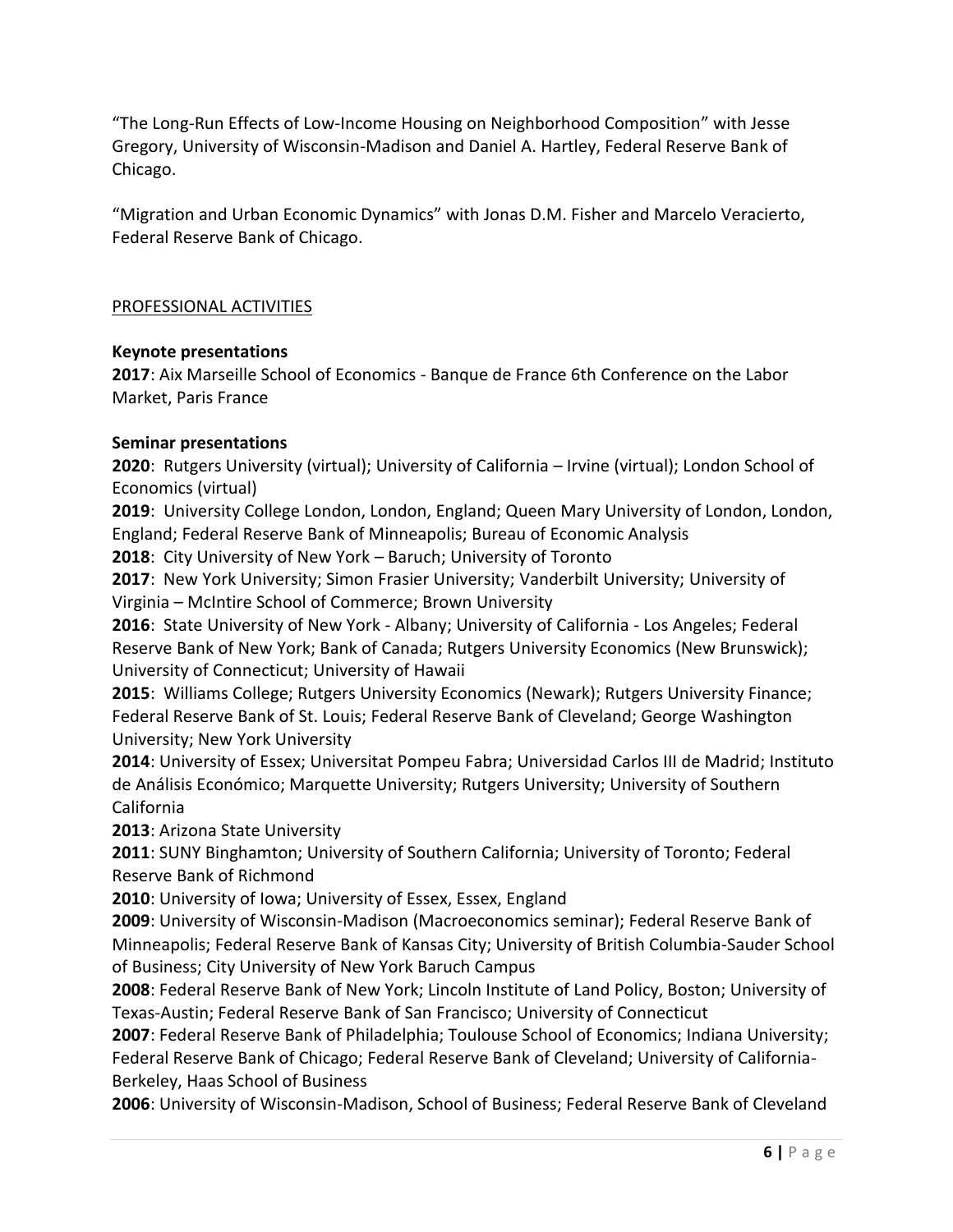"The Long-Run Effects of Low-Income Housing on Neighborhood Composition" with Jesse Gregory, University of Wisconsin-Madison and Daniel A. Hartley, Federal Reserve Bank of Chicago.

"Migration and Urban Economic Dynamics" with Jonas D.M. Fisher and Marcelo Veracierto, Federal Reserve Bank of Chicago.

## PROFESSIONAL ACTIVITIES

### **Keynote presentations**

**2017**: Aix Marseille School of Economics - Banque de France 6th Conference on the Labor Market, Paris France

### **Seminar presentations**

**2020**: Rutgers University (virtual); University of California – Irvine (virtual); London School of Economics (virtual)

**2019**: University College London, London, England; Queen Mary University of London, London, England; Federal Reserve Bank of Minneapolis; Bureau of Economic Analysis

**2018**: City University of New York – Baruch; University of Toronto

**2017**: New York University; Simon Frasier University; Vanderbilt University; University of Virginia – McIntire School of Commerce; Brown University

**2016**: State University of New York - Albany; University of California - Los Angeles; Federal Reserve Bank of New York; Bank of Canada; Rutgers University Economics (New Brunswick); University of Connecticut; University of Hawaii

**2015**: Williams College; Rutgers University Economics (Newark); Rutgers University Finance; Federal Reserve Bank of St. Louis; Federal Reserve Bank of Cleveland; George Washington University; New York University

**2014**: University of Essex; Universitat Pompeu Fabra; Universidad Carlos III de Madrid; Instituto de Análisis Económico; Marquette University; Rutgers University; University of Southern California

**2013**: Arizona State University

**2011**: SUNY Binghamton; University of Southern California; University of Toronto; Federal Reserve Bank of Richmond

**2010**: University of Iowa; University of Essex, Essex, England

**2009**: University of Wisconsin-Madison (Macroeconomics seminar); Federal Reserve Bank of Minneapolis; Federal Reserve Bank of Kansas City; University of British Columbia-Sauder School of Business; City University of New York Baruch Campus

**2008**: Federal Reserve Bank of New York; Lincoln Institute of Land Policy, Boston; University of Texas-Austin; Federal Reserve Bank of San Francisco; University of Connecticut

**2007**: Federal Reserve Bank of Philadelphia; Toulouse School of Economics; Indiana University; Federal Reserve Bank of Chicago; Federal Reserve Bank of Cleveland; University of California-Berkeley, Haas School of Business

**2006**: University of Wisconsin-Madison, School of Business; Federal Reserve Bank of Cleveland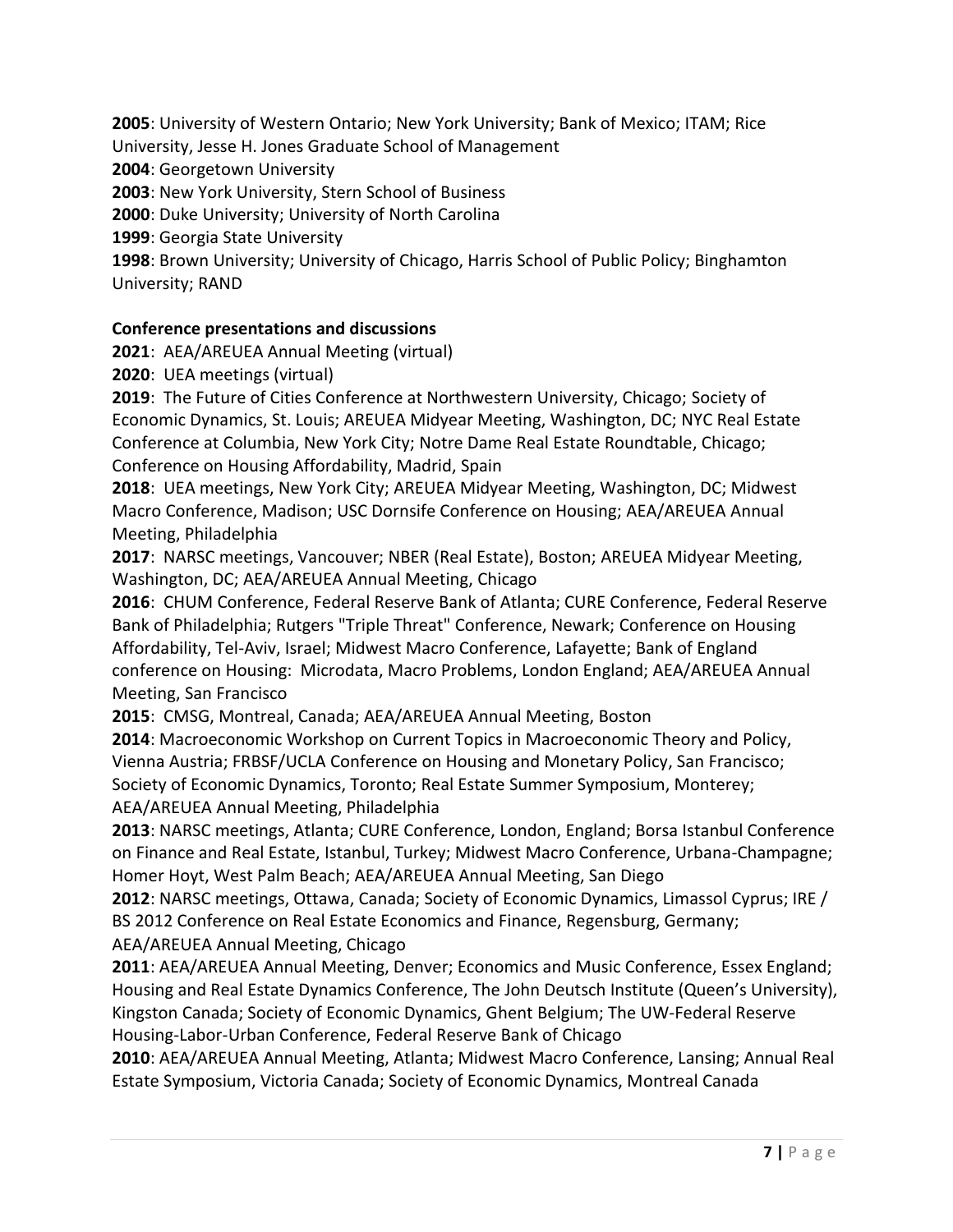**2005**: University of Western Ontario; New York University; Bank of Mexico; ITAM; Rice

University, Jesse H. Jones Graduate School of Management

**2004**: Georgetown University

**2003**: New York University, Stern School of Business

**2000**: Duke University; University of North Carolina

**1999**: Georgia State University

**1998**: Brown University; University of Chicago, Harris School of Public Policy; Binghamton University; RAND

# **Conference presentations and discussions**

**2021**:AEA/AREUEA Annual Meeting (virtual)

**2020**: UEA meetings (virtual)

**2019**: The Future of Cities Conference at Northwestern University, Chicago; Society of Economic Dynamics, St. Louis; AREUEA Midyear Meeting, Washington, DC; NYC Real Estate Conference at Columbia, New York City; Notre Dame Real Estate Roundtable, Chicago; Conference on Housing Affordability, Madrid, Spain

**2018**: UEA meetings, New York City; AREUEA Midyear Meeting, Washington, DC; Midwest Macro Conference, Madison; USC Dornsife Conference on Housing; AEA/AREUEA Annual Meeting, Philadelphia

**2017**: NARSC meetings, Vancouver; NBER (Real Estate), Boston; AREUEA Midyear Meeting, Washington, DC; AEA/AREUEA Annual Meeting, Chicago

**2016**: CHUM Conference, Federal Reserve Bank of Atlanta; CURE Conference, Federal Reserve Bank of Philadelphia; Rutgers "Triple Threat" Conference, Newark; Conference on Housing Affordability, Tel-Aviv, Israel; Midwest Macro Conference, Lafayette; Bank of England conference on Housing: Microdata, Macro Problems, London England; AEA/AREUEA Annual Meeting, San Francisco

**2015**: CMSG, Montreal, Canada; AEA/AREUEA Annual Meeting, Boston

**2014**: Macroeconomic Workshop on Current Topics in Macroeconomic Theory and Policy, Vienna Austria; FRBSF/UCLA Conference on Housing and Monetary Policy, San Francisco; Society of Economic Dynamics, Toronto; Real Estate Summer Symposium, Monterey; AEA/AREUEA Annual Meeting, Philadelphia

**2013**: NARSC meetings, Atlanta; CURE Conference, London, England; Borsa Istanbul Conference on Finance and Real Estate, Istanbul, Turkey; Midwest Macro Conference, Urbana-Champagne; Homer Hoyt, West Palm Beach; AEA/AREUEA Annual Meeting, San Diego

**2012**: NARSC meetings, Ottawa, Canada; Society of Economic Dynamics, Limassol Cyprus; IRE / BS 2012 Conference on Real Estate Economics and Finance, Regensburg, Germany; AEA/AREUEA Annual Meeting, Chicago

**2011**: AEA/AREUEA Annual Meeting, Denver; Economics and Music Conference, Essex England; Housing and Real Estate Dynamics Conference, The John Deutsch Institute (Queen's University), Kingston Canada; Society of Economic Dynamics, Ghent Belgium; The UW-Federal Reserve Housing-Labor-Urban Conference, Federal Reserve Bank of Chicago

**2010**: AEA/AREUEA Annual Meeting, Atlanta; Midwest Macro Conference, Lansing; Annual Real Estate Symposium, Victoria Canada; Society of Economic Dynamics, Montreal Canada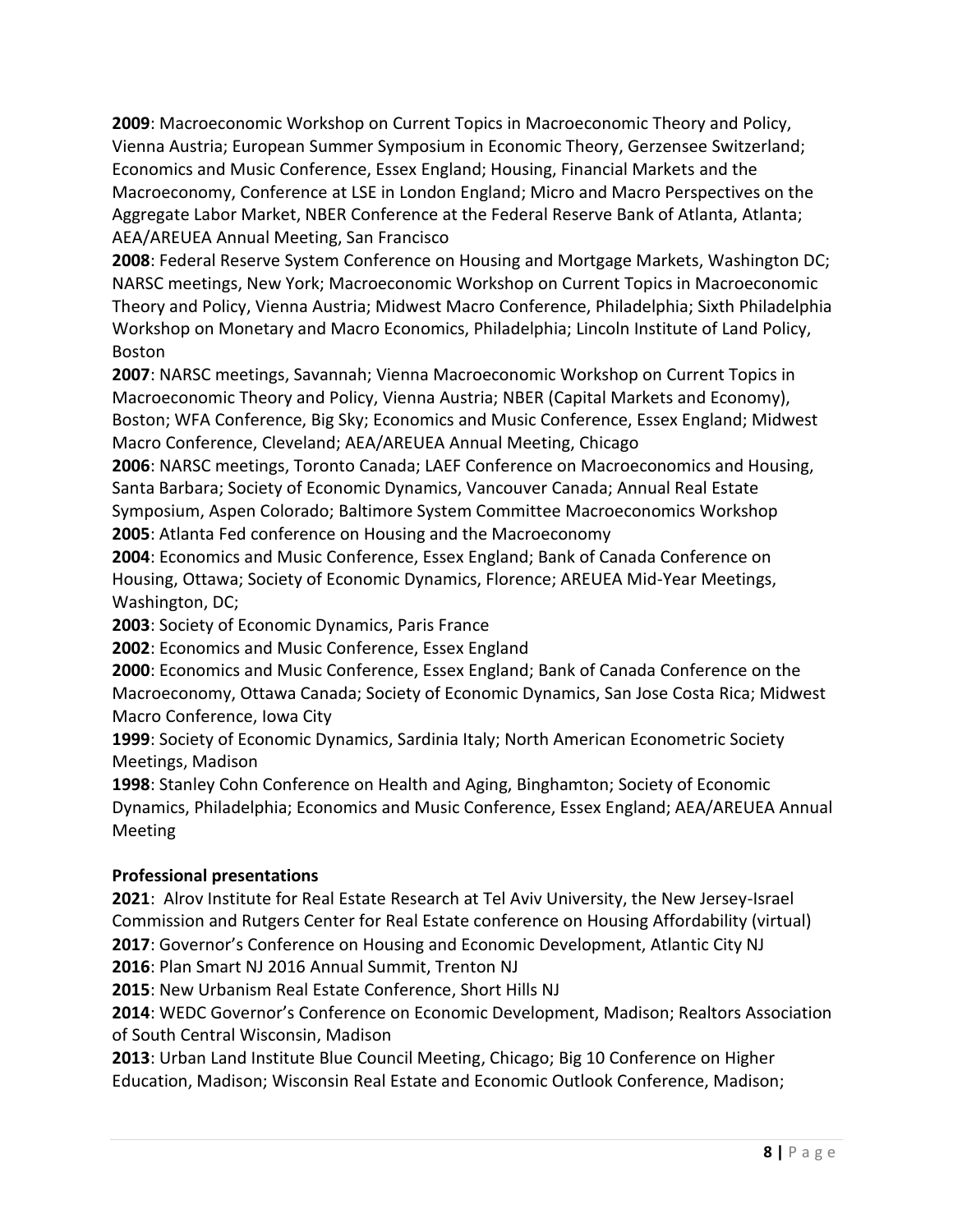**2009**: Macroeconomic Workshop on Current Topics in Macroeconomic Theory and Policy, Vienna Austria; European Summer Symposium in Economic Theory, Gerzensee Switzerland; Economics and Music Conference, Essex England; Housing, Financial Markets and the Macroeconomy, Conference at LSE in London England; Micro and Macro Perspectives on the Aggregate Labor Market, NBER Conference at the Federal Reserve Bank of Atlanta, Atlanta; AEA/AREUEA Annual Meeting, San Francisco

**2008**: Federal Reserve System Conference on Housing and Mortgage Markets, Washington DC; NARSC meetings, New York; Macroeconomic Workshop on Current Topics in Macroeconomic Theory and Policy, Vienna Austria; Midwest Macro Conference, Philadelphia; Sixth Philadelphia Workshop on Monetary and Macro Economics, Philadelphia; Lincoln Institute of Land Policy, Boston

**2007**: NARSC meetings, Savannah; Vienna Macroeconomic Workshop on Current Topics in Macroeconomic Theory and Policy, Vienna Austria; NBER (Capital Markets and Economy), Boston; WFA Conference, Big Sky; Economics and Music Conference, Essex England; Midwest Macro Conference, Cleveland; AEA/AREUEA Annual Meeting, Chicago

**2006**: NARSC meetings, Toronto Canada; LAEF Conference on Macroeconomics and Housing, Santa Barbara; Society of Economic Dynamics, Vancouver Canada; Annual Real Estate Symposium, Aspen Colorado; Baltimore System Committee Macroeconomics Workshop **2005**: Atlanta Fed conference on Housing and the Macroeconomy

**2004**: Economics and Music Conference, Essex England; Bank of Canada Conference on Housing, Ottawa; Society of Economic Dynamics, Florence; AREUEA Mid-Year Meetings, Washington, DC;

**2003**: Society of Economic Dynamics, Paris France

**2002**: Economics and Music Conference, Essex England

**2000**: Economics and Music Conference, Essex England; Bank of Canada Conference on the Macroeconomy, Ottawa Canada; Society of Economic Dynamics, San Jose Costa Rica; Midwest Macro Conference, Iowa City

**1999**: Society of Economic Dynamics, Sardinia Italy; North American Econometric Society Meetings, Madison

**1998**: Stanley Cohn Conference on Health and Aging, Binghamton; Society of Economic Dynamics, Philadelphia; Economics and Music Conference, Essex England; AEA/AREUEA Annual Meeting

# **Professional presentations**

**2021**: Alrov Institute for Real Estate Research at Tel Aviv University, the New Jersey-Israel Commission and Rutgers Center for Real Estate conference on Housing Affordability (virtual) **2017**: Governor's Conference on Housing and Economic Development, Atlantic City NJ

**2016**: Plan Smart NJ 2016 Annual Summit, Trenton NJ

**2015**: New Urbanism Real Estate Conference, Short Hills NJ

**2014**: WEDC Governor's Conference on Economic Development, Madison; Realtors Association of South Central Wisconsin, Madison

**2013**: Urban Land Institute Blue Council Meeting, Chicago; Big 10 Conference on Higher Education, Madison; Wisconsin Real Estate and Economic Outlook Conference, Madison;